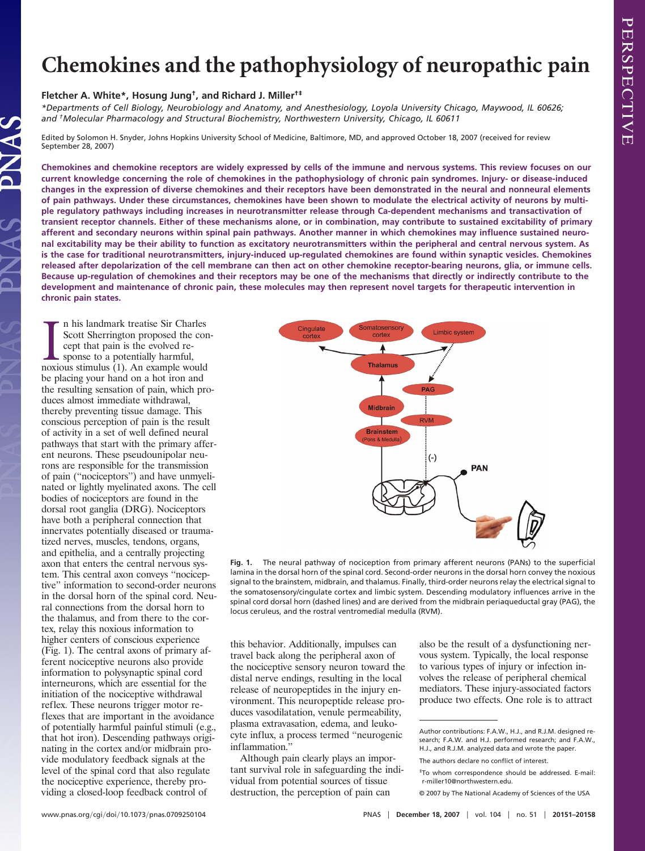# **Chemokines and the pathophysiology of neuropathic pain**

# **Fletcher A. White\*, Hosung Jung†, and Richard J. Miller†‡**

*\*Departments of Cell Biology, Neurobiology and Anatomy, and Anesthesiology, Loyola University Chicago, Maywood, IL 60626; and †Molecular Pharmacology and Structural Biochemistry, Northwestern University, Chicago, IL 60611*

Edited by Solomon H. Snyder, Johns Hopkins University School of Medicine, Baltimore, MD, and approved October 18, 2007 (received for review September 28, 2007)

**Chemokines and chemokine receptors are widely expressed by cells of the immune and nervous systems. This review focuses on our current knowledge concerning the role of chemokines in the pathophysiology of chronic pain syndromes. Injury- or disease-induced changes in the expression of diverse chemokines and their receptors have been demonstrated in the neural and nonneural elements of pain pathways. Under these circumstances, chemokines have been shown to modulate the electrical activity of neurons by multiple regulatory pathways including increases in neurotransmitter release through Ca-dependent mechanisms and transactivation of transient receptor channels. Either of these mechanisms alone, or in combination, may contribute to sustained excitability of primary afferent and secondary neurons within spinal pain pathways. Another manner in which chemokines may influence sustained neuronal excitability may be their ability to function as excitatory neurotransmitters within the peripheral and central nervous system. As is the case for traditional neurotransmitters, injury-induced up-regulated chemokines are found within synaptic vesicles. Chemokines released after depolarization of the cell membrane can then act on other chemokine receptor-bearing neurons, glia, or immune cells. Because up-regulation of chemokines and their receptors may be one of the mechanisms that directly or indirectly contribute to the development and maintenance of chronic pain, these molecules may then represent novel targets for therapeutic intervention in chronic pain states.**

In his landmark treatise Sir Charles<br>Scott Sherrington proposed the corept that pain is the evolved re-<br>sponse to a potentially harmful,<br>noxious stimulus (1). An example would n his landmark treatise Sir Charles Scott Sherrington proposed the concept that pain is the evolved response to a potentially harmful, be placing your hand on a hot iron and the resulting sensation of pain, which produces almost immediate withdrawal, thereby preventing tissue damage. This conscious perception of pain is the result of activity in a set of well defined neural pathways that start with the primary afferent neurons. These pseudounipolar neurons are responsible for the transmission of pain (''nociceptors'') and have unmyelinated or lightly myelinated axons. The cell bodies of nociceptors are found in the dorsal root ganglia (DRG). Nociceptors have both a peripheral connection that innervates potentially diseased or traumatized nerves, muscles, tendons, organs, and epithelia, and a centrally projecting axon that enters the central nervous system. This central axon conveys ''nociceptive'' information to second-order neurons in the dorsal horn of the spinal cord. Neural connections from the dorsal horn to the thalamus, and from there to the cortex, relay this noxious information to higher centers of conscious experience (Fig. 1). The central axons of primary afferent nociceptive neurons also provide information to polysynaptic spinal cord interneurons, which are essential for the initiation of the nociceptive withdrawal reflex. These neurons trigger motor reflexes that are important in the avoidance of potentially harmful painful stimuli (e.g., that hot iron). Descending pathways originating in the cortex and/or midbrain provide modulatory feedback signals at the level of the spinal cord that also regulate the nociceptive experience, thereby providing a closed-loop feedback control of



**Fig. 1.** The neural pathway of nociception from primary afferent neurons (PANs) to the superficial lamina in the dorsal horn of the spinal cord. Second-order neurons in the dorsal horn convey the noxious signal to the brainstem, midbrain, and thalamus. Finally, third-order neurons relay the electrical signal to the somatosensory/cingulate cortex and limbic system. Descending modulatory influences arrive in the spinal cord dorsal horn (dashed lines) and are derived from the midbrain periaqueductal gray (PAG), the locus ceruleus, and the rostral ventromedial medulla (RVM).

this behavior. Additionally, impulses can travel back along the peripheral axon of the nociceptive sensory neuron toward the distal nerve endings, resulting in the local release of neuropeptides in the injury environment. This neuropeptide release produces vasodilatation, venule permeability, plasma extravasation, edema, and leukocyte influx, a process termed ''neurogenic inflammation.''

Although pain clearly plays an important survival role in safeguarding the individual from potential sources of tissue destruction, the perception of pain can

also be the result of a dysfunctioning nervous system. Typically, the local response to various types of injury or infection involves the release of peripheral chemical mediators. These injury-associated factors produce two effects. One role is to attract

Author contributions: F.A.W., H.J., and R.J.M. designed research; F.A.W. and H.J. performed research; and F.A.W., H.J., and R.J.M. analyzed data and wrote the paper.

The authors declare no conflict of interest.

<sup>‡</sup>To whom correspondence should be addressed. E-mail: r-miller10@northwestern.edu.

<sup>© 2007</sup> by The National Academy of Sciences of the USA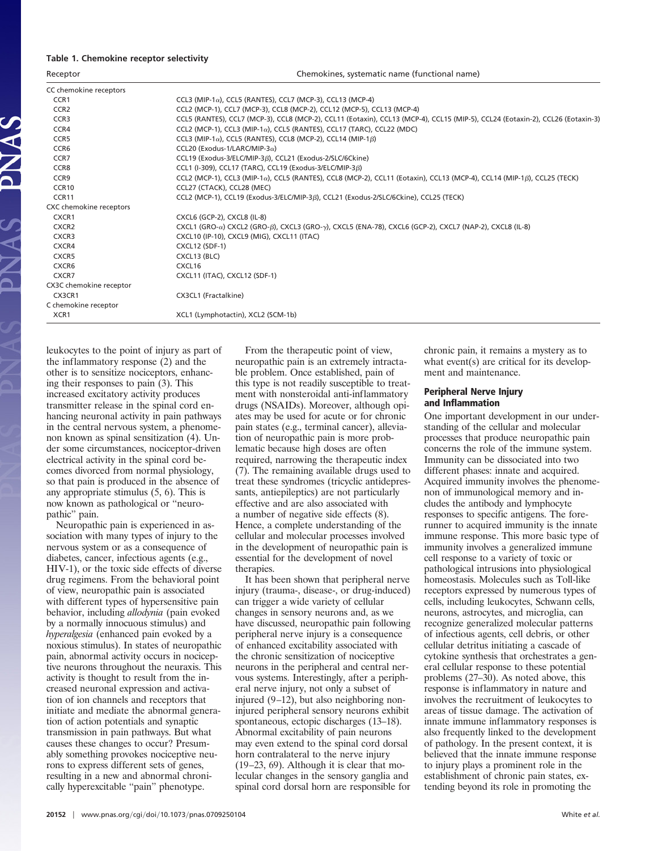#### **Table 1. Chemokine receptor selectivity**

| Receptor                | Chemokines, systematic name (functional name)                                                                                    |
|-------------------------|----------------------------------------------------------------------------------------------------------------------------------|
| CC chemokine receptors  |                                                                                                                                  |
| CCR1                    | CCL3 (MIP-1 $\alpha$ ), CCL5 (RANTES), CCL7 (MCP-3), CCL13 (MCP-4)                                                               |
| CCR <sub>2</sub>        | CCL2 (MCP-1), CCL7 (MCP-3), CCL8 (MCP-2), CCL12 (MCP-5), CCL13 (MCP-4)                                                           |
| CCR3                    | CCL5 (RANTES), CCL7 (MCP-3), CCL8 (MCP-2), CCL11 (Eotaxin), CCL13 (MCP-4), CCL15 (MIP-5), CCL24 (Eotaxin-2), CCL26 (Eotaxin-3)   |
| CCR4                    | CCL2 (MCP-1), CCL3 (MIP-1 $\alpha$ ), CCL5 (RANTES), CCL17 (TARC), CCL22 (MDC)                                                   |
| CCR5                    | CCL3 (MIP-1 $\alpha$ ), CCL5 (RANTES), CCL8 (MCP-2), CCL14 (MIP-1 $\beta$ )                                                      |
| CCR6                    | CCL20 (Exodus-1/LARC/MIP-3 $\alpha$ )                                                                                            |
| CCR7                    | CCL19 (Exodus-3/ELC/MIP-3ß), CCL21 (Exodus-2/SLC/6Ckine)                                                                         |
| CCR <sub>8</sub>        | CCL1 (I-309), CCL17 (TARC), CCL19 (Exodus-3/ELC/MIP-3 $\beta$ )                                                                  |
| CCR9                    | CCL2 (MCP-1), CCL3 (MIP-1a), CCL5 (RANTES), CCL8 (MCP-2), CCL11 (Eotaxin), CCL13 (MCP-4), CCL14 (MIP-1ß), CCL25 (TECK)           |
| CCR10                   | CCL27 (CTACK), CCL28 (MEC)                                                                                                       |
| CCR11                   | CCL2 (MCP-1), CCL19 (Exodus-3/ELC/MIP-3ß), CCL21 (Exodus-2/SLC/6Ckine), CCL25 (TECK)                                             |
| CXC chemokine receptors |                                                                                                                                  |
| CXCR1                   | CXCL6 (GCP-2), CXCL8 (IL-8)                                                                                                      |
| CXCR <sub>2</sub>       | CXCL1 (GRO- $\alpha$ ) CXCL2 (GRO- $\beta$ ), CXCL3 (GRO- $\gamma$ ), CXCL5 (ENA-78), CXCL6 (GCP-2), CXCL7 (NAP-2), CXCL8 (IL-8) |
| CXCR3                   | CXCL10 (IP-10), CXCL9 (MIG), CXCL11 (ITAC)                                                                                       |
| CXCR4                   | CXCL12 (SDF-1)                                                                                                                   |
| CXCR5                   | CXCL13 (BLC)                                                                                                                     |
| CXCR6                   | CXCL16                                                                                                                           |
| CXCR7                   | CXCL11 (ITAC), CXCL12 (SDF-1)                                                                                                    |
| CX3C chemokine receptor |                                                                                                                                  |
| CX3CR1                  | CX3CL1 (Fractalkine)                                                                                                             |
| C chemokine receptor    |                                                                                                                                  |
| XCR <sub>1</sub>        | XCL1 (Lymphotactin), XCL2 (SCM-1b)                                                                                               |

leukocytes to the point of injury as part of the inflammatory response (2) and the other is to sensitize nociceptors, enhancing their responses to pain (3). This increased excitatory activity produces transmitter release in the spinal cord enhancing neuronal activity in pain pathways in the central nervous system, a phenomenon known as spinal sensitization (4). Under some circumstances, nociceptor-driven electrical activity in the spinal cord becomes divorced from normal physiology, so that pain is produced in the absence of any appropriate stimulus (5, 6). This is now known as pathological or ''neuropathic'' pain.

Neuropathic pain is experienced in association with many types of injury to the nervous system or as a consequence of diabetes, cancer, infectious agents (e.g., HIV-1), or the toxic side effects of diverse drug regimens. From the behavioral point of view, neuropathic pain is associated with different types of hypersensitive pain behavior, including *allodynia* (pain evoked by a normally innocuous stimulus) and *hyperalgesia* (enhanced pain evoked by a noxious stimulus). In states of neuropathic pain, abnormal activity occurs in nociceptive neurons throughout the neuraxis. This activity is thought to result from the increased neuronal expression and activation of ion channels and receptors that initiate and mediate the abnormal generation of action potentials and synaptic transmission in pain pathways. But what causes these changes to occur? Presumably something provokes nociceptive neurons to express different sets of genes, resulting in a new and abnormal chronically hyperexcitable ''pain'' phenotype.

From the therapeutic point of view, neuropathic pain is an extremely intractable problem. Once established, pain of this type is not readily susceptible to treatment with nonsteroidal anti-inflammatory drugs (NSAIDs). Moreover, although opiates may be used for acute or for chronic pain states (e.g., terminal cancer), alleviation of neuropathic pain is more problematic because high doses are often required, narrowing the therapeutic index (7). The remaining available drugs used to treat these syndromes (tricyclic antidepressants, antiepileptics) are not particularly effective and are also associated with a number of negative side effects (8). Hence, a complete understanding of the cellular and molecular processes involved in the development of neuropathic pain is essential for the development of novel therapies.

It has been shown that peripheral nerve injury (trauma-, disease-, or drug-induced) can trigger a wide variety of cellular changes in sensory neurons and, as we have discussed, neuropathic pain following peripheral nerve injury is a consequence of enhanced excitability associated with the chronic sensitization of nociceptive neurons in the peripheral and central nervous systems. Interestingly, after a peripheral nerve injury, not only a subset of injured (9–12), but also neighboring noninjured peripheral sensory neurons exhibit spontaneous, ectopic discharges (13–18). Abnormal excitability of pain neurons may even extend to the spinal cord dorsal horn contralateral to the nerve injury (19–23, 69). Although it is clear that molecular changes in the sensory ganglia and spinal cord dorsal horn are responsible for

chronic pain, it remains a mystery as to what event(s) are critical for its development and maintenance.

#### **Peripheral Nerve Injury and Inflammation**

One important development in our understanding of the cellular and molecular processes that produce neuropathic pain concerns the role of the immune system. Immunity can be dissociated into two different phases: innate and acquired. Acquired immunity involves the phenomenon of immunological memory and includes the antibody and lymphocyte responses to specific antigens. The forerunner to acquired immunity is the innate immune response. This more basic type of immunity involves a generalized immune cell response to a variety of toxic or pathological intrusions into physiological homeostasis. Molecules such as Toll-like receptors expressed by numerous types of cells, including leukocytes, Schwann cells, neurons, astrocytes, and microglia, can recognize generalized molecular patterns of infectious agents, cell debris, or other cellular detritus initiating a cascade of cytokine synthesis that orchestrates a general cellular response to these potential problems (27–30). As noted above, this response is inflammatory in nature and involves the recruitment of leukocytes to areas of tissue damage. The activation of innate immune inflammatory responses is also frequently linked to the development of pathology. In the present context, it is believed that the innate immune response to injury plays a prominent role in the establishment of chronic pain states, extending beyond its role in promoting the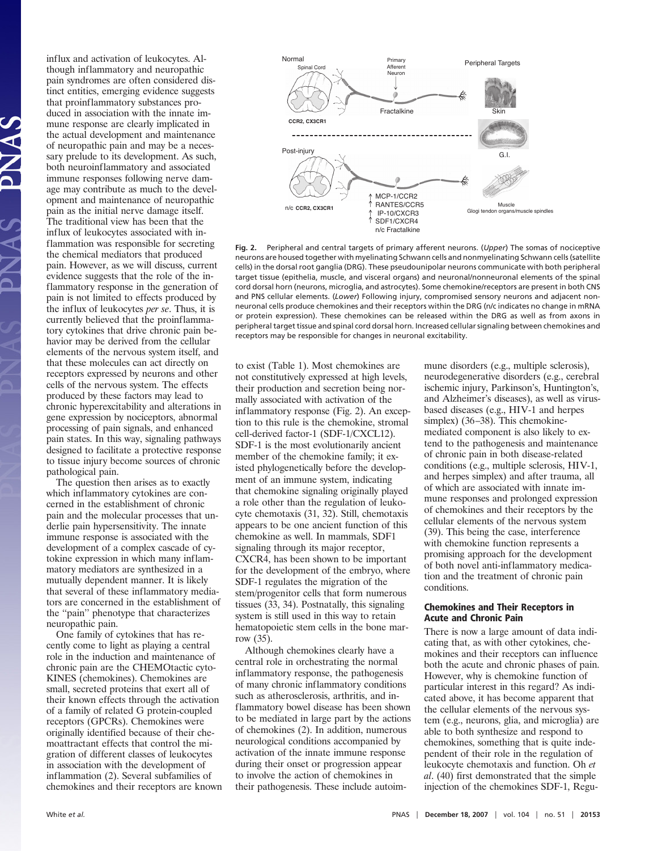influx and activation of leukocytes. Although inflammatory and neuropathic pain syndromes are often considered distinct entities, emerging evidence suggests that proinflammatory substances produced in association with the innate immune response are clearly implicated in the actual development and maintenance of neuropathic pain and may be a necessary prelude to its development. As such, both neuroinflammatory and associated immune responses following nerve damage may contribute as much to the development and maintenance of neuropathic pain as the initial nerve damage itself. The traditional view has been that the influx of leukocytes associated with inflammation was responsible for secreting the chemical mediators that produced pain. However, as we will discuss, current evidence suggests that the role of the inflammatory response in the generation of pain is not limited to effects produced by the influx of leukocytes *per se*. Thus, it is currently believed that the proinflammatory cytokines that drive chronic pain behavior may be derived from the cellular elements of the nervous system itself, and that these molecules can act directly on receptors expressed by neurons and other cells of the nervous system. The effects produced by these factors may lead to chronic hyperexcitability and alterations in gene expression by nociceptors, abnormal processing of pain signals, and enhanced pain states. In this way, signaling pathways designed to facilitate a protective response to tissue injury become sources of chronic pathological pain.

The question then arises as to exactly which inflammatory cytokines are concerned in the establishment of chronic pain and the molecular processes that underlie pain hypersensitivity. The innate immune response is associated with the development of a complex cascade of cytokine expression in which many inflammatory mediators are synthesized in a mutually dependent manner. It is likely that several of these inflammatory mediators are concerned in the establishment of the ''pain'' phenotype that characterizes neuropathic pain.

One family of cytokines that has recently come to light as playing a central role in the induction and maintenance of chronic pain are the CHEMOtactic cyto-KINES (chemokines). Chemokines are small, secreted proteins that exert all of their known effects through the activation of a family of related G protein-coupled receptors (GPCRs). Chemokines were originally identified because of their chemoattractant effects that control the migration of different classes of leukocytes in association with the development of inflammation (2). Several subfamilies of chemokines and their receptors are known



**Fig. 2.** Peripheral and central targets of primary afferent neurons. (*Upper*) The somas of nociceptive neurons are housed together with myelinating Schwann cells and nonmyelinating Schwann cells (satellite cells) in the dorsal root ganglia (DRG). These pseudounipolar neurons communicate with both peripheral target tissue (epithelia, muscle, and visceral organs) and neuronal/nonneuronal elements of the spinal cord dorsal horn (neurons, microglia, and astrocytes). Some chemokine/receptors are present in both CNS and PNS cellular elements. (*Lower*) Following injury, compromised sensory neurons and adjacent nonneuronal cells produce chemokines and their receptors within the DRG (n/c indicates no change in mRNA or protein expression). These chemokines can be released within the DRG as well as from axons in peripheral target tissue and spinal cord dorsal horn. Increased cellular signaling between chemokines and receptors may be responsible for changes in neuronal excitability.

to exist (Table 1). Most chemokines are not constitutively expressed at high levels, their production and secretion being normally associated with activation of the inflammatory response (Fig. 2). An exception to this rule is the chemokine, stromal cell-derived factor-1 (SDF-1/CXCL12). SDF-1 is the most evolutionarily ancient member of the chemokine family; it existed phylogenetically before the development of an immune system, indicating that chemokine signaling originally played a role other than the regulation of leukocyte chemotaxis (31, 32). Still, chemotaxis appears to be one ancient function of this chemokine as well. In mammals, SDF1 signaling through its major receptor, CXCR4, has been shown to be important for the development of the embryo, where SDF-1 regulates the migration of the stem/progenitor cells that form numerous tissues (33, 34). Postnatally, this signaling system is still used in this way to retain hematopoietic stem cells in the bone marrow (35).

Although chemokines clearly have a central role in orchestrating the normal inflammatory response, the pathogenesis of many chronic inflammatory conditions such as atherosclerosis, arthritis, and inflammatory bowel disease has been shown to be mediated in large part by the actions of chemokines (2). In addition, numerous neurological conditions accompanied by activation of the innate immune response during their onset or progression appear to involve the action of chemokines in their pathogenesis. These include autoimmune disorders (e.g., multiple sclerosis), neurodegenerative disorders (e.g., cerebral ischemic injury, Parkinson's, Huntington's, and Alzheimer's diseases), as well as virusbased diseases (e.g., HIV-1 and herpes simplex) (36–38). This chemokinemediated component is also likely to extend to the pathogenesis and maintenance of chronic pain in both disease-related conditions (e.g., multiple sclerosis, HIV-1, and herpes simplex) and after trauma, all of which are associated with innate immune responses and prolonged expression of chemokines and their receptors by the cellular elements of the nervous system (39). This being the case, interference with chemokine function represents a promising approach for the development of both novel anti-inflammatory medication and the treatment of chronic pain conditions.

### **Chemokines and Their Receptors in Acute and Chronic Pain**

There is now a large amount of data indicating that, as with other cytokines, chemokines and their receptors can influence both the acute and chronic phases of pain. However, why is chemokine function of particular interest in this regard? As indicated above, it has become apparent that the cellular elements of the nervous system (e.g., neurons, glia, and microglia) are able to both synthesize and respond to chemokines, something that is quite independent of their role in the regulation of leukocyte chemotaxis and function. Oh *et al*. (40) first demonstrated that the simple injection of the chemokines SDF-1, Regu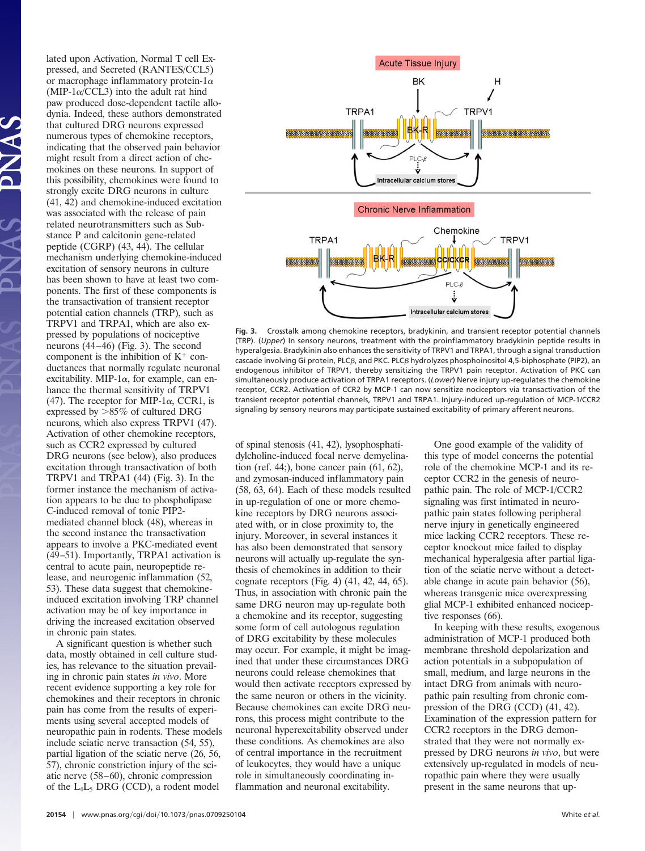lated upon Activation, Normal T cell Expressed, and Secreted (RANTES/CCL5) or macrophage inflammatory protein- $1\alpha$ (MIP-1 $\alpha$ /CCL3) into the adult rat hind paw produced dose-dependent tactile allodynia. Indeed, these authors demonstrated that cultured DRG neurons expressed numerous types of chemokine receptors, indicating that the observed pain behavior might result from a direct action of chemokines on these neurons. In support of this possibility, chemokines were found to strongly excite DRG neurons in culture (41, 42) and chemokine-induced excitation was associated with the release of pain related neurotransmitters such as Substance P and calcitonin gene-related peptide (CGRP) (43, 44). The cellular mechanism underlying chemokine-induced excitation of sensory neurons in culture has been shown to have at least two components. The first of these components is the transactivation of transient receptor potential cation channels (TRP), such as TRPV1 and TRPA1, which are also expressed by populations of nociceptive neurons (44–46) (Fig. 3). The second component is the inhibition of  $K<sup>+</sup>$  conductances that normally regulate neuronal excitability. MIP-1 $\alpha$ , for example, can enhance the thermal sensitivity of TRPV1 (47). The receptor for MIP-1 $\alpha$ , CCR1, is expressed by -85% of cultured DRG neurons, which also express TRPV1 (47). Activation of other chemokine receptors, such as CCR2 expressed by cultured DRG neurons (see below), also produces excitation through transactivation of both TRPV1 and TRPA1 (44) (Fig. 3). In the former instance the mechanism of activation appears to be due to phospholipase C-induced removal of tonic PIP2 mediated channel block (48), whereas in the second instance the transactivation appears to involve a PKC-mediated event (49–51). Importantly, TRPA1 activation is central to acute pain, neuropeptide release, and neurogenic inflammation (52, 53). These data suggest that chemokineinduced excitation involving TRP channel activation may be of key importance in driving the increased excitation observed in chronic pain states.

A significant question is whether such data, mostly obtained in cell culture studies, has relevance to the situation prevailing in chronic pain states *in vivo*. More recent evidence supporting a key role for chemokines and their receptors in chronic pain has come from the results of experiments using several accepted models of neuropathic pain in rodents. These models include sciatic nerve transaction (54, 55), partial ligation of the sciatic nerve (26, 56, 57), chronic constriction injury of the sciatic nerve (58–60), chronic *c*ompression of the L4L5 DRG (CCD), a rodent model



**Fig. 3.** Crosstalk among chemokine receptors, bradykinin, and transient receptor potential channels (TRP). (*Upper*) In sensory neurons, treatment with the proinflammatory bradykinin peptide results in hyperalgesia. Bradykinin also enhances the sensitivity of TRPV1 and TRPA1, through a signal transduction cascade involving Gi protein, PLC $\beta$ , and PKC. PLC $\beta$  hydrolyzes phosphoinositol 4,5-biphosphate (PIP2), an endogenous inhibitor of TRPV1, thereby sensitizing the TRPV1 pain receptor. Activation of PKC can simultaneously produce activation of TRPA1 receptors. (*Lower*) Nerve injury up-regulates the chemokine receptor, CCR2. Activation of CCR2 by MCP-1 can now sensitize nociceptors via transactivation of the transient receptor potential channels, TRPV1 and TRPA1. Injury-induced up-regulation of MCP-1/CCR2 signaling by sensory neurons may participate sustained excitability of primary afferent neurons.

of spinal stenosis (41, 42), lysophosphatidylcholine-induced focal nerve demyelination (ref. 44;), bone cancer pain (61, 62), and zymosan-induced inflammatory pain (58, 63, 64). Each of these models resulted in up-regulation of one or more chemokine receptors by DRG neurons associated with, or in close proximity to, the injury. Moreover, in several instances it has also been demonstrated that sensory neurons will actually up-regulate the synthesis of chemokines in addition to their cognate receptors (Fig. 4) (41, 42, 44, 65). Thus, in association with chronic pain the same DRG neuron may up-regulate both a chemokine and its receptor, suggesting some form of cell autologous regulation of DRG excitability by these molecules may occur. For example, it might be imagined that under these circumstances DRG neurons could release chemokines that would then activate receptors expressed by the same neuron or others in the vicinity. Because chemokines can excite DRG neurons, this process might contribute to the neuronal hyperexcitability observed under these conditions. As chemokines are also of central importance in the recruitment of leukocytes, they would have a unique role in simultaneously coordinating inflammation and neuronal excitability.

One good example of the validity of this type of model concerns the potential role of the chemokine MCP-1 and its receptor CCR2 in the genesis of neuropathic pain. The role of MCP-1/CCR2 signaling was first intimated in neuropathic pain states following peripheral nerve injury in genetically engineered mice lacking CCR2 receptors. These receptor knockout mice failed to display mechanical hyperalgesia after partial ligation of the sciatic nerve without a detectable change in acute pain behavior (56), whereas transgenic mice overexpressing glial MCP-1 exhibited enhanced nociceptive responses (66).

In keeping with these results, exogenous administration of MCP-1 produced both membrane threshold depolarization and action potentials in a subpopulation of small, medium, and large neurons in the intact DRG from animals with neuropathic pain resulting from chronic compression of the DRG (CCD) (41, 42). Examination of the expression pattern for CCR2 receptors in the DRG demonstrated that they were not normally expressed by DRG neurons *in vivo*, but were extensively up-regulated in models of neuropathic pain where they were usually present in the same neurons that up-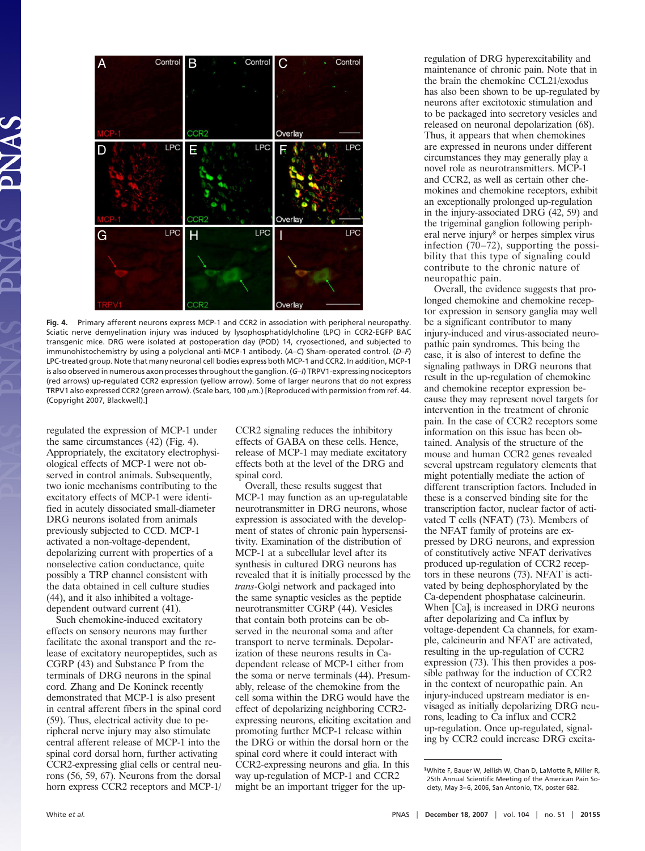

**Fig. 4.** Primary afferent neurons express MCP-1 and CCR2 in association with peripheral neuropathy. Sciatic nerve demyelination injury was induced by lysophosphatidylcholine (LPC) in CCR2-EGFP BAC transgenic mice. DRG were isolated at postoperation day (POD) 14, cryosectioned, and subjected to immunohistochemistry by using a polyclonal anti-MCP-1 antibody. (*A*–*C*) Sham-operated control. (*D*–*F*) LPC-treated group. Note that many neuronal cell bodies express both MCP-1 and CCR2. In addition, MCP-1 is also observed in numerous axon processes throughout the ganglion. (*G*–*I*) TRPV1-expressing nociceptors (red arrows) up-regulated CCR2 expression (yellow arrow). Some of larger neurons that do not express TRPV1 also expressed CCR2 (green arrow). (Scale bars, 100  $\mu$ m.) [Reproduced with permission from ref. 44. (Copyright 2007, Blackwell).]

regulated the expression of MCP-1 under the same circumstances (42) (Fig. 4). Appropriately, the excitatory electrophysiological effects of MCP-1 were not observed in control animals. Subsequently, two ionic mechanisms contributing to the excitatory effects of MCP-1 were identified in acutely dissociated small-diameter DRG neurons isolated from animals previously subjected to CCD. MCP-1 activated a non-voltage-dependent, depolarizing current with properties of a nonselective cation conductance, quite possibly a TRP channel consistent with the data obtained in cell culture studies (44), and it also inhibited a voltagedependent outward current (41).

Such chemokine-induced excitatory effects on sensory neurons may further facilitate the axonal transport and the release of excitatory neuropeptides, such as CGRP (43) and Substance P from the terminals of DRG neurons in the spinal cord. Zhang and De Koninck recently demonstrated that MCP-1 is also present in central afferent fibers in the spinal cord (59). Thus, electrical activity due to peripheral nerve injury may also stimulate central afferent release of MCP-1 into the spinal cord dorsal horn, further activating CCR2-expressing glial cells or central neurons (56, 59, 67). Neurons from the dorsal horn express CCR2 receptors and MCP-1/ CCR2 signaling reduces the inhibitory effects of GABA on these cells. Hence, release of MCP-1 may mediate excitatory effects both at the level of the DRG and spinal cord.

Overall, these results suggest that MCP-1 may function as an up-regulatable neurotransmitter in DRG neurons, whose expression is associated with the development of states of chronic pain hypersensitivity. Examination of the distribution of MCP-1 at a subcellular level after its synthesis in cultured DRG neurons has revealed that it is initially processed by the *trans*-Golgi network and packaged into the same synaptic vesicles as the peptide neurotransmitter CGRP (44). Vesicles that contain both proteins can be observed in the neuronal soma and after transport to nerve terminals. Depolarization of these neurons results in Cadependent release of MCP-1 either from the soma or nerve terminals (44). Presumably, release of the chemokine from the cell soma within the DRG would have the effect of depolarizing neighboring CCR2 expressing neurons, eliciting excitation and promoting further MCP-1 release within the DRG or within the dorsal horn or the spinal cord where it could interact with CCR2-expressing neurons and glia. In this way up-regulation of MCP-1 and CCR2 might be an important trigger for the upregulation of DRG hyperexcitability and maintenance of chronic pain. Note that in the brain the chemokine CCL21/exodus has also been shown to be up-regulated by neurons after excitotoxic stimulation and to be packaged into secretory vesicles and released on neuronal depolarization (68). Thus, it appears that when chemokines are expressed in neurons under different circumstances they may generally play a novel role as neurotransmitters. MCP-1 and CCR2, as well as certain other chemokines and chemokine receptors, exhibit an exceptionally prolonged up-regulation in the injury-associated DRG (42, 59) and the trigeminal ganglion following peripheral nerve injury§ or herpes simplex virus infection (70–72), supporting the possibility that this type of signaling could contribute to the chronic nature of neuropathic pain.

Overall, the evidence suggests that prolonged chemokine and chemokine receptor expression in sensory ganglia may well be a significant contributor to many injury-induced and virus-associated neuropathic pain syndromes. This being the case, it is also of interest to define the signaling pathways in DRG neurons that result in the up-regulation of chemokine and chemokine receptor expression because they may represent novel targets for intervention in the treatment of chronic pain. In the case of CCR2 receptors some information on this issue has been obtained. Analysis of the structure of the mouse and human CCR2 genes revealed several upstream regulatory elements that might potentially mediate the action of different transcription factors. Included in these is a conserved binding site for the transcription factor, nuclear factor of activated T cells (NFAT) (73). Members of the NFAT family of proteins are expressed by DRG neurons, and expression of constitutively active NFAT derivatives produced up-regulation of CCR2 receptors in these neurons (73). NFAT is activated by being dephosphorylated by the Ca-dependent phosphatase calcineurin. When [Ca]<sub>i</sub> is increased in DRG neurons after depolarizing and Ca influx by voltage-dependent Ca channels, for example, calcineurin and NFAT are activated, resulting in the up-regulation of CCR2 expression (73). This then provides a possible pathway for the induction of CCR2 in the context of neuropathic pain. An injury-induced upstream mediator is envisaged as initially depolarizing DRG neurons, leading to Ca influx and CCR2 up-regulation. Once up-regulated, signaling by CCR2 could increase DRG excita-

<sup>§</sup>White F, Bauer W, Jellish W, Chan D, LaMotte R, Miller R, 25th Annual Scientific Meeting of the American Pain Society, May 3-6, 2006, San Antonio, TX, poster 682.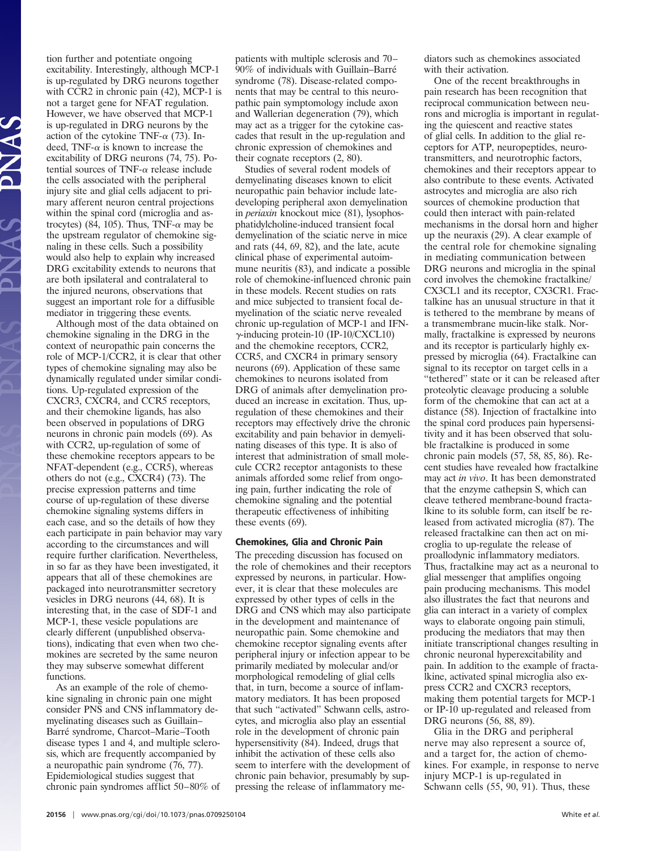tion further and potentiate ongoing excitability. Interestingly, although MCP-1 is up-regulated by DRG neurons together with CCR2 in chronic pain (42), MCP-1 is not a target gene for NFAT regulation. However, we have observed that MCP-1 is up-regulated in DRG neurons by the action of the cytokine TNF- $\alpha$  (73). Indeed, TNF- $\alpha$  is known to increase the excitability of DRG neurons (74, 75). Potential sources of TNF- $\alpha$  release include the cells associated with the peripheral injury site and glial cells adjacent to primary afferent neuron central projections within the spinal cord (microglia and astrocytes) (84, 105). Thus, TNF- $\alpha$  may be the upstream regulator of chemokine signaling in these cells. Such a possibility would also help to explain why increased DRG excitability extends to neurons that are both ipsilateral and contralateral to the injured neurons, observations that suggest an important role for a diffusible mediator in triggering these events.

Although most of the data obtained on chemokine signaling in the DRG in the context of neuropathic pain concerns the role of MCP-1/CCR2, it is clear that other types of chemokine signaling may also be dynamically regulated under similar conditions. Up-regulated expression of the CXCR3, CXCR4, and CCR5 receptors, and their chemokine ligands, has also been observed in populations of DRG neurons in chronic pain models (69). As with CCR2, up-regulation of some of these chemokine receptors appears to be NFAT-dependent (e.g., CCR5), whereas others do not (e.g., CXCR4) (73). The precise expression patterns and time course of up-regulation of these diverse chemokine signaling systems differs in each case, and so the details of how they each participate in pain behavior may vary according to the circumstances and will require further clarification. Nevertheless, in so far as they have been investigated, it appears that all of these chemokines are packaged into neurotransmitter secretory vesicles in DRG neurons (44, 68). It is interesting that, in the case of SDF-1 and MCP-1, these vesicle populations are clearly different (unpublished observations), indicating that even when two chemokines are secreted by the same neuron they may subserve somewhat different functions.

As an example of the role of chemokine signaling in chronic pain one might consider PNS and CNS inflammatory demyelinating diseases such as Guillain– Barré syndrome, Charcot–Marie–Tooth disease types 1 and 4, and multiple sclerosis, which are frequently accompanied by a neuropathic pain syndrome (76, 77). Epidemiological studies suggest that chronic pain syndromes afflict 50–80% of patients with multiple sclerosis and 70– 90% of individuals with Guillain–Barré syndrome (78). Disease-related components that may be central to this neuropathic pain symptomology include axon and Wallerian degeneration (79), which may act as a trigger for the cytokine cascades that result in the up-regulation and chronic expression of chemokines and their cognate receptors (2, 80).

Studies of several rodent models of demyelinating diseases known to elicit neuropathic pain behavior include latedeveloping peripheral axon demyelination in *periaxin* knockout mice (81), lysophosphatidylcholine-induced transient focal demyelination of the sciatic nerve in mice and rats (44, 69, 82), and the late, acute clinical phase of experimental autoimmune neuritis (83), and indicate a possible role of chemokine-influenced chronic pain in these models. Recent studies on rats and mice subjected to transient focal demyelination of the sciatic nerve revealed chronic up-regulation of MCP-1 and IFN-  $\gamma$ -inducing protein-10 (IP-10/CXCL10) and the chemokine receptors, CCR2, CCR5, and CXCR4 in primary sensory neurons (69). Application of these same chemokines to neurons isolated from DRG of animals after demyelination produced an increase in excitation. Thus, upregulation of these chemokines and their receptors may effectively drive the chronic excitability and pain behavior in demyelinating diseases of this type. It is also of interest that administration of small molecule CCR2 receptor antagonists to these animals afforded some relief from ongoing pain, further indicating the role of chemokine signaling and the potential therapeutic effectiveness of inhibiting these events (69).

## **Chemokines, Glia and Chronic Pain**

The preceding discussion has focused on the role of chemokines and their receptors expressed by neurons, in particular. However, it is clear that these molecules are expressed by other types of cells in the DRG and CNS which may also participate in the development and maintenance of neuropathic pain. Some chemokine and chemokine receptor signaling events after peripheral injury or infection appear to be primarily mediated by molecular and/or morphological remodeling of glial cells that, in turn, become a source of inflammatory mediators. It has been proposed that such "activated" Schwann cells, astrocytes, and microglia also play an essential role in the development of chronic pain hypersensitivity (84). Indeed, drugs that inhibit the activation of these cells also seem to interfere with the development of chronic pain behavior, presumably by suppressing the release of inflammatory mediators such as chemokines associated with their activation.

One of the recent breakthroughs in pain research has been recognition that reciprocal communication between neurons and microglia is important in regulating the quiescent and reactive states of glial cells. In addition to the glial receptors for ATP, neuropeptides, neurotransmitters, and neurotrophic factors, chemokines and their receptors appear to also contribute to these events. Activated astrocytes and microglia are also rich sources of chemokine production that could then interact with pain-related mechanisms in the dorsal horn and higher up the neuraxis (29). A clear example of the central role for chemokine signaling in mediating communication between DRG neurons and microglia in the spinal cord involves the chemokine fractalkine/ CX3CL1 and its receptor, CX3CR1. Fractalkine has an unusual structure in that it is tethered to the membrane by means of a transmembrane mucin-like stalk. Normally, fractalkine is expressed by neurons and its receptor is particularly highly expressed by microglia (64). Fractalkine can signal to its receptor on target cells in a ''tethered'' state or it can be released after proteolytic cleavage producing a soluble form of the chemokine that can act at a distance (58). Injection of fractalkine into the spinal cord produces pain hypersensitivity and it has been observed that soluble fractalkine is produced in some chronic pain models (57, 58, 85, 86). Recent studies have revealed how fractalkine may act *in vivo*. It has been demonstrated that the enzyme cathepsin S, which can cleave tethered membrane-bound fractalkine to its soluble form, can itself be released from activated microglia (87). The released fractalkine can then act on microglia to up-regulate the release of proallodynic inflammatory mediators. Thus, fractalkine may act as a neuronal to glial messenger that amplifies ongoing pain producing mechanisms. This model also illustrates the fact that neurons and glia can interact in a variety of complex ways to elaborate ongoing pain stimuli, producing the mediators that may then initiate transcriptional changes resulting in chronic neuronal hyperexcitability and pain. In addition to the example of fractalkine, activated spinal microglia also express CCR2 and CXCR3 receptors, making them potential targets for MCP-1 or IP-10 up-regulated and released from DRG neurons (56, 88, 89).

Glia in the DRG and peripheral nerve may also represent a source of, and a target for, the action of chemokines. For example, in response to nerve injury MCP-1 is up-regulated in Schwann cells (55, 90, 91). Thus, these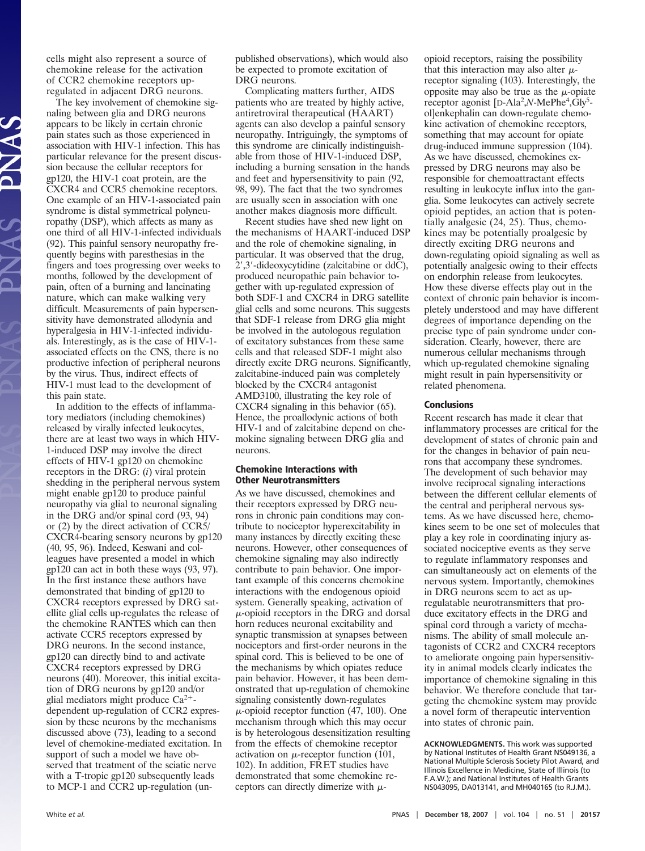cells might also represent a source of chemokine release for the activation of CCR2 chemokine receptors upregulated in adjacent DRG neurons.

The key involvement of chemokine signaling between glia and DRG neurons appears to be likely in certain chronic pain states such as those experienced in association with HIV-1 infection. This has particular relevance for the present discussion because the cellular receptors for gp120, the HIV-1 coat protein, are the CXCR4 and CCR5 chemokine receptors. One example of an HIV-1-associated pain syndrome is distal symmetrical polyneuropathy (DSP), which affects as many as one third of all HIV-1-infected individuals (92). This painful sensory neuropathy frequently begins with paresthesias in the fingers and toes progressing over weeks to months, followed by the development of pain, often of a burning and lancinating nature, which can make walking very difficult. Measurements of pain hypersensitivity have demonstrated allodynia and hyperalgesia in HIV-1-infected individuals. Interestingly, as is the case of HIV-1 associated effects on the CNS, there is no productive infection of peripheral neurons by the virus. Thus, indirect effects of HIV-1 must lead to the development of this pain state.

In addition to the effects of inflammatory mediators (including chemokines) released by virally infected leukocytes, there are at least two ways in which HIV-1-induced DSP may involve the direct effects of HIV-1 gp120 on chemokine receptors in the DRG: (*i*) viral protein shedding in the peripheral nervous system might enable gp120 to produce painful neuropathy via glial to neuronal signaling in the DRG and/or spinal cord (93, 94) or (2) by the direct activation of CCR5/ CXCR4-bearing sensory neurons by gp120 (40, 95, 96). Indeed, Keswani and colleagues have presented a model in which gp120 can act in both these ways (93, 97). In the first instance these authors have demonstrated that binding of gp120 to CXCR4 receptors expressed by DRG satellite glial cells up-regulates the release of the chemokine RANTES which can then activate CCR5 receptors expressed by DRG neurons. In the second instance, gp120 can directly bind to and activate CXCR4 receptors expressed by DRG neurons (40). Moreover, this initial excitation of DRG neurons by gp120 and/or glial mediators might produce  $Ca^{2+}$ dependent up-regulation of CCR2 expression by these neurons by the mechanisms discussed above (73), leading to a second level of chemokine-mediated excitation. In support of such a model we have observed that treatment of the sciatic nerve with a T-tropic gp120 subsequently leads to MCP-1 and CCR2 up-regulation (unpublished observations), which would also be expected to promote excitation of DRG neurons.

Complicating matters further, AIDS patients who are treated by highly active, antiretroviral therapeutical (HAART) agents can also develop a painful sensory neuropathy. Intriguingly, the symptoms of this syndrome are clinically indistinguishable from those of HIV-1-induced DSP, including a burning sensation in the hands and feet and hypersensitivity to pain (92, 98, 99). The fact that the two syndromes are usually seen in association with one another makes diagnosis more difficult.

Recent studies have shed new light on the mechanisms of HAART-induced DSP and the role of chemokine signaling, in particular. It was observed that the drug, 2,3-dideoxycytidine (zalcitabine or ddC), produced neuropathic pain behavior together with up-regulated expression of both SDF-1 and CXCR4 in DRG satellite glial cells and some neurons. This suggests that SDF-1 release from DRG glia might be involved in the autologous regulation of excitatory substances from these same cells and that released SDF-1 might also directly excite DRG neurons. Significantly, zalcitabine-induced pain was completely blocked by the CXCR4 antagonist AMD3100, illustrating the key role of CXCR4 signaling in this behavior (65). Hence, the proallodynic actions of both HIV-1 and of zalcitabine depend on chemokine signaling between DRG glia and neurons.

#### **Chemokine Interactions with Other Neurotransmitters**

As we have discussed, chemokines and their receptors expressed by DRG neurons in chronic pain conditions may contribute to nociceptor hyperexcitability in many instances by directly exciting these neurons. However, other consequences of chemokine signaling may also indirectly contribute to pain behavior. One important example of this concerns chemokine interactions with the endogenous opioid system. Generally speaking, activation of  $\mu$ -opioid receptors in the DRG and dorsal horn reduces neuronal excitability and synaptic transmission at synapses between nociceptors and first-order neurons in the spinal cord. This is believed to be one of the mechanisms by which opiates reduce pain behavior. However, it has been demonstrated that up-regulation of chemokine signaling consistently down-regulates  $\mu$ -opioid receptor function (47, 100). One mechanism through which this may occur is by heterologous desensitization resulting from the effects of chemokine receptor activation on  $\mu$ -receptor function (101, 102). In addition, FRET studies have demonstrated that some chemokine receptors can directly dimerize with  $\mu$ - opioid receptors, raising the possibility that this interaction may also alter  $\mu$ receptor signaling (103). Interestingly, the opposite may also be true as the  $\mu$ -opiate receptor agonist [D-Ala<sup>2</sup>,N-MePhe<sup>4</sup>,Gly<sup>5</sup>ol]enkephalin can down-regulate chemokine activation of chemokine receptors, something that may account for opiate drug-induced immune suppression (104). As we have discussed, chemokines expressed by DRG neurons may also be responsible for chemoattractant effects resulting in leukocyte influx into the ganglia. Some leukocytes can actively secrete opioid peptides, an action that is potentially analgesic (24, 25). Thus, chemokines may be potentially proalgesic by directly exciting DRG neurons and down-regulating opioid signaling as well as potentially analgesic owing to their effects on endorphin release from leukocytes. How these diverse effects play out in the context of chronic pain behavior is incompletely understood and may have different degrees of importance depending on the precise type of pain syndrome under consideration. Clearly, however, there are numerous cellular mechanisms through which up-regulated chemokine signaling might result in pain hypersensitivity or related phenomena.

#### **Conclusions**

Recent research has made it clear that inflammatory processes are critical for the development of states of chronic pain and for the changes in behavior of pain neurons that accompany these syndromes. The development of such behavior may involve reciprocal signaling interactions between the different cellular elements of the central and peripheral nervous systems. As we have discussed here, chemokines seem to be one set of molecules that play a key role in coordinating injury associated nociceptive events as they serve to regulate inflammatory responses and can simultaneously act on elements of the nervous system. Importantly, chemokines in DRG neurons seem to act as upregulatable neurotransmitters that produce excitatory effects in the DRG and spinal cord through a variety of mechanisms. The ability of small molecule antagonists of CCR2 and CXCR4 receptors to ameliorate ongoing pain hypersensitivity in animal models clearly indicates the importance of chemokine signaling in this behavior. We therefore conclude that targeting the chemokine system may provide a novel form of therapeutic intervention into states of chronic pain.

**ACKNOWLEDGMENTS.** This work was supported by National Institutes of Health Grant NS049136, a National Multiple Sclerosis Society Pilot Award, and Illinois Excellence in Medicine, State of Illinois (to F.A.W.); and National Institutes of Health Grants NS043095, DA013141, and MH040165 (to R.J.M.).